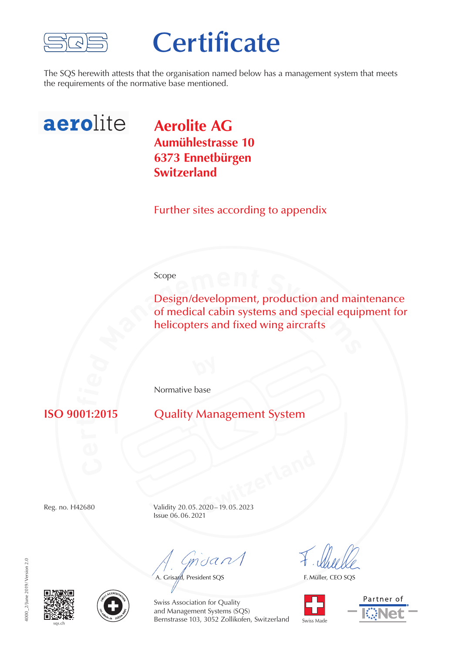

## **Certificate**

The SQS herewith attests that the organisation named below has a management system that meets the requirements of the normative base mentioned.



**Aerolite AG Aumühlestrasse 10 6373 Ennetbürgen Switzerland**

Further sites according to appendix

## Scope

**Design/development, production and main of medical cabin systems and special equip helicopters and fixed wing aircrafts** Design/development, production and maintenance of medical cabin systems and special equipment for helicopters and fixed wing aircrafts

Normative base

**ti**01: **Quality Management System** 

**Switzerland** Reg. no. H42680 Validity 20.05.2020–19.05.2023 Issue 06.06.2021

mdan

A. Grisard, President SQS

F. Müller, CEO SQS









Swiss Association for Quality and Management Systems (SQS) Bernstrasse 103, 3052 Zollikofen, Switzerland